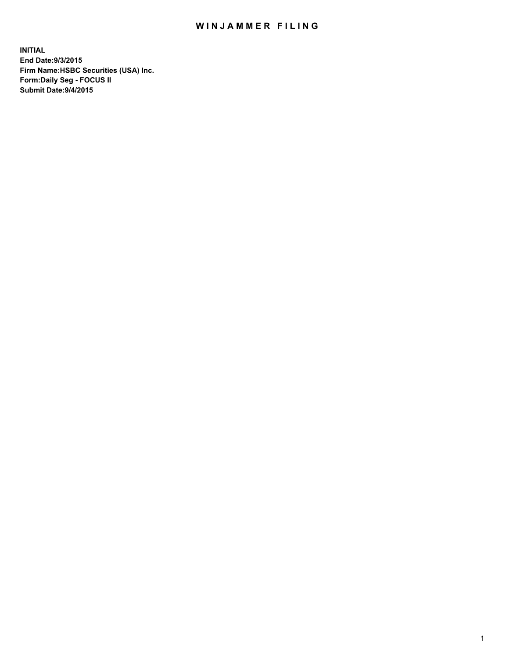## WIN JAMMER FILING

**INITIAL End Date:9/3/2015 Firm Name:HSBC Securities (USA) Inc. Form:Daily Seg - FOCUS II Submit Date:9/4/2015**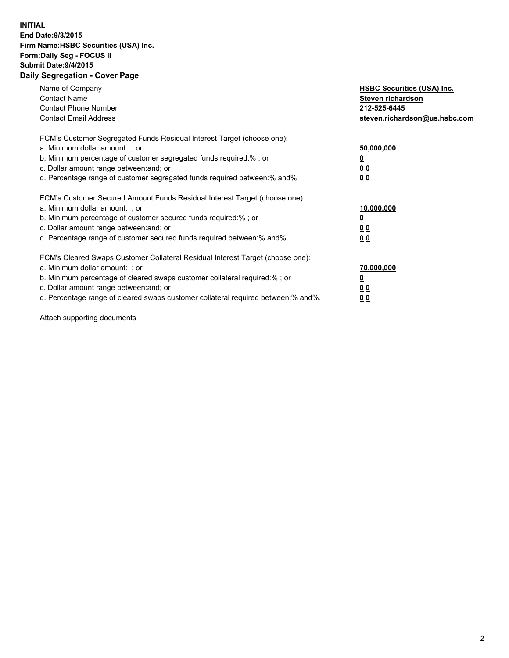## **INITIAL End Date:9/3/2015 Firm Name:HSBC Securities (USA) Inc. Form:Daily Seg - FOCUS II Submit Date:9/4/2015 Daily Segregation - Cover Page**

| Name of Company<br><b>Contact Name</b><br><b>Contact Phone Number</b><br><b>Contact Email Address</b>                                                                                                                                                                                                                         | <b>HSBC Securities (USA) Inc.</b><br>Steven richardson<br>212-525-6445<br>steven.richardson@us.hsbc.com |
|-------------------------------------------------------------------------------------------------------------------------------------------------------------------------------------------------------------------------------------------------------------------------------------------------------------------------------|---------------------------------------------------------------------------------------------------------|
| FCM's Customer Segregated Funds Residual Interest Target (choose one):<br>a. Minimum dollar amount: ; or<br>b. Minimum percentage of customer segregated funds required:% ; or<br>c. Dollar amount range between: and; or<br>d. Percentage range of customer segregated funds required between: % and %.                      | 50,000,000<br>00<br>0 <sub>0</sub>                                                                      |
| FCM's Customer Secured Amount Funds Residual Interest Target (choose one):<br>a. Minimum dollar amount: ; or<br>b. Minimum percentage of customer secured funds required:%; or<br>c. Dollar amount range between: and; or<br>d. Percentage range of customer secured funds required between:% and%.                           | 10,000,000<br>0 <sub>0</sub><br>0 <sub>0</sub>                                                          |
| FCM's Cleared Swaps Customer Collateral Residual Interest Target (choose one):<br>a. Minimum dollar amount: ; or<br>b. Minimum percentage of cleared swaps customer collateral required:%; or<br>c. Dollar amount range between: and; or<br>d. Percentage range of cleared swaps customer collateral required between:% and%. | 70,000,000<br>0 <sub>0</sub><br>00                                                                      |

Attach supporting documents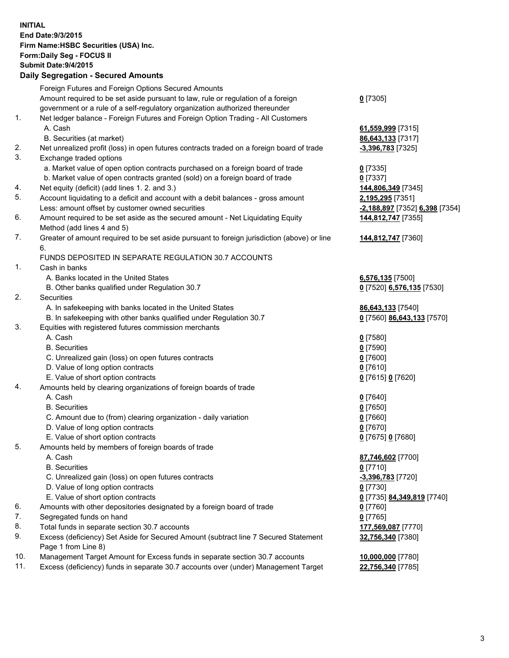**INITIAL End Date:9/3/2015 Firm Name:HSBC Securities (USA) Inc. Form:Daily Seg - FOCUS II Submit Date:9/4/2015 Daily Segregation - Secured Amounts** Foreign Futures and Foreign Options Secured Amounts Amount required to be set aside pursuant to law, rule or regulation of a foreign government or a rule of a self-regulatory organization authorized thereunder **0** [7305] 1. Net ledger balance - Foreign Futures and Foreign Option Trading - All Customers A. Cash **61,559,999** [7315] B. Securities (at market) **86,643,133** [7317] 2. Net unrealized profit (loss) in open futures contracts traded on a foreign board of trade **-3,396,783** [7325] 3. Exchange traded options a. Market value of open option contracts purchased on a foreign board of trade **0** [7335] b. Market value of open contracts granted (sold) on a foreign board of trade **0** [7337] 4. Net equity (deficit) (add lines 1. 2. and 3.) **144,806,349** [7345] 5. Account liquidating to a deficit and account with a debit balances - gross amount **2,195,295** [7351] Less: amount offset by customer owned securities **-2,188,897** [7352] **6,398** [7354] 6. Amount required to be set aside as the secured amount - Net Liquidating Equity Method (add lines 4 and 5) **144,812,747** [7355] 7. Greater of amount required to be set aside pursuant to foreign jurisdiction (above) or line 6. **144,812,747** [7360] FUNDS DEPOSITED IN SEPARATE REGULATION 30.7 ACCOUNTS 1. Cash in banks A. Banks located in the United States **6,576,135** [7500] B. Other banks qualified under Regulation 30.7 **0** [7520] **6,576,135** [7530] 2. Securities A. In safekeeping with banks located in the United States **86,643,133** [7540] B. In safekeeping with other banks qualified under Regulation 30.7 **0** [7560] **86,643,133** [7570] 3. Equities with registered futures commission merchants A. Cash **0** [7580] B. Securities **0** [7590] C. Unrealized gain (loss) on open futures contracts **0** [7600] D. Value of long option contracts **0** [7610] E. Value of short option contracts **0** [7615] **0** [7620] 4. Amounts held by clearing organizations of foreign boards of trade A. Cash **0** [7640] B. Securities **0** [7650] C. Amount due to (from) clearing organization - daily variation **0** [7660] D. Value of long option contracts **0** [7670] E. Value of short option contracts **0** [7675] **0** [7680] 5. Amounts held by members of foreign boards of trade A. Cash **87,746,602** [7700] B. Securities **0** [7710] C. Unrealized gain (loss) on open futures contracts **-3,396,783** [7720] D. Value of long option contracts **0** [7730] E. Value of short option contracts **0** [7735] **84,349,819** [7740] 6. Amounts with other depositories designated by a foreign board of trade **0** [7760] 7. Segregated funds on hand **0** [7765] 8. Total funds in separate section 30.7 accounts **177,569,087** [7770] 9. Excess (deficiency) Set Aside for Secured Amount (subtract line 7 Secured Statement Page 1 from Line 8) **32,756,340** [7380] 10. Management Target Amount for Excess funds in separate section 30.7 accounts **10,000,000** [7780] 11. Excess (deficiency) funds in separate 30.7 accounts over (under) Management Target **22,756,340** [7785]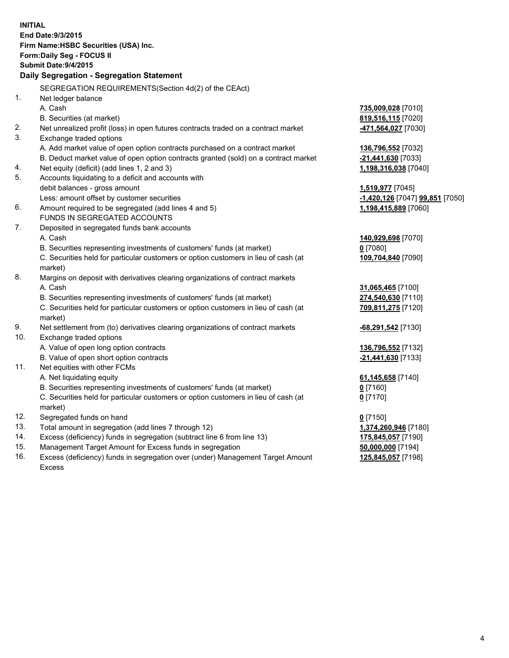| <b>INITIAL</b>                            |                                                                                      |                                                         |  |  |  |  |
|-------------------------------------------|--------------------------------------------------------------------------------------|---------------------------------------------------------|--|--|--|--|
| End Date: 9/3/2015                        |                                                                                      |                                                         |  |  |  |  |
|                                           | Firm Name: HSBC Securities (USA) Inc.                                                |                                                         |  |  |  |  |
| Form: Daily Seg - FOCUS II                |                                                                                      |                                                         |  |  |  |  |
| <b>Submit Date: 9/4/2015</b>              |                                                                                      |                                                         |  |  |  |  |
| Daily Segregation - Segregation Statement |                                                                                      |                                                         |  |  |  |  |
|                                           | SEGREGATION REQUIREMENTS(Section 4d(2) of the CEAct)                                 |                                                         |  |  |  |  |
| 1.                                        | Net ledger balance                                                                   |                                                         |  |  |  |  |
|                                           | A. Cash                                                                              | 735,009,028 [7010]                                      |  |  |  |  |
|                                           | B. Securities (at market)                                                            | 819,516,115 [7020]                                      |  |  |  |  |
| 2.                                        | Net unrealized profit (loss) in open futures contracts traded on a contract market   | -471,564,027 [7030]                                     |  |  |  |  |
| 3.                                        | Exchange traded options                                                              |                                                         |  |  |  |  |
|                                           | A. Add market value of open option contracts purchased on a contract market          | 136,796,552 [7032]                                      |  |  |  |  |
|                                           | B. Deduct market value of open option contracts granted (sold) on a contract market  | -21,441,630 [7033]                                      |  |  |  |  |
| 4.                                        | Net equity (deficit) (add lines 1, 2 and 3)                                          | 1,198,316,038 [7040]                                    |  |  |  |  |
| 5.                                        | Accounts liquidating to a deficit and accounts with                                  |                                                         |  |  |  |  |
|                                           | debit balances - gross amount                                                        | 1,519,977 [7045]                                        |  |  |  |  |
| 6.                                        | Less: amount offset by customer securities                                           | -1,420,126 [7047] 99,851 [7050]<br>1,198,415,889 [7060] |  |  |  |  |
|                                           | Amount required to be segregated (add lines 4 and 5)<br>FUNDS IN SEGREGATED ACCOUNTS |                                                         |  |  |  |  |
| 7.                                        | Deposited in segregated funds bank accounts                                          |                                                         |  |  |  |  |
|                                           | A. Cash                                                                              | 140,929,698 [7070]                                      |  |  |  |  |
|                                           | B. Securities representing investments of customers' funds (at market)               | $0$ [7080]                                              |  |  |  |  |
|                                           | C. Securities held for particular customers or option customers in lieu of cash (at  | 109,704,840 [7090]                                      |  |  |  |  |
|                                           | market)                                                                              |                                                         |  |  |  |  |
| 8.                                        | Margins on deposit with derivatives clearing organizations of contract markets       |                                                         |  |  |  |  |
|                                           | A. Cash                                                                              | 31,065,465 [7100]                                       |  |  |  |  |
|                                           | B. Securities representing investments of customers' funds (at market)               | 274,540,630 [7110]                                      |  |  |  |  |
|                                           | C. Securities held for particular customers or option customers in lieu of cash (at  | 709,811,275 [7120]                                      |  |  |  |  |
|                                           | market)                                                                              |                                                         |  |  |  |  |
| 9.                                        | Net settlement from (to) derivatives clearing organizations of contract markets      | -68,291,542 [7130]                                      |  |  |  |  |
| 10.                                       | Exchange traded options                                                              |                                                         |  |  |  |  |
|                                           | A. Value of open long option contracts                                               | 136,796,552 [7132]                                      |  |  |  |  |
|                                           | B. Value of open short option contracts                                              | -21,441,630 [7133]                                      |  |  |  |  |
| 11.                                       | Net equities with other FCMs                                                         |                                                         |  |  |  |  |
|                                           | A. Net liquidating equity                                                            | 61,145,658 [7140]                                       |  |  |  |  |
|                                           | B. Securities representing investments of customers' funds (at market)               | $0$ [7160]                                              |  |  |  |  |
|                                           | C. Securities held for particular customers or option customers in lieu of cash (at  | $0$ [7170]                                              |  |  |  |  |
|                                           | market)                                                                              |                                                         |  |  |  |  |
| 12.                                       | Segregated funds on hand                                                             | $0$ [7150]                                              |  |  |  |  |
| 13.                                       | Total amount in segregation (add lines 7 through 12)                                 | 1,374,260,946 [7180]                                    |  |  |  |  |
| 14.                                       | Excess (deficiency) funds in segregation (subtract line 6 from line 13)              | 175,845,057 [7190]                                      |  |  |  |  |
| 15.                                       | Management Target Amount for Excess funds in segregation                             | 50,000,000 [7194]                                       |  |  |  |  |

16. Excess (deficiency) funds in segregation over (under) Management Target Amount Excess

**125,845,057** [7198]